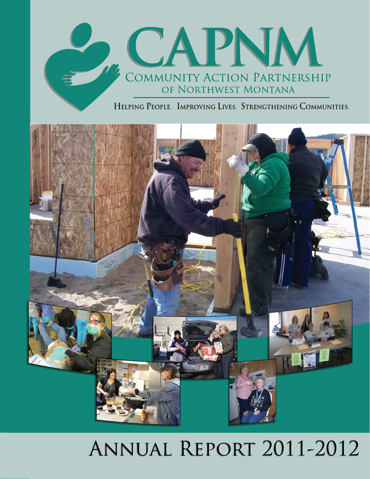

HELPING PEOPLE. IMPROVING LIVES. STRENGTHENING COMMUNITIES.



# ANNUAL REPORT 2011-2012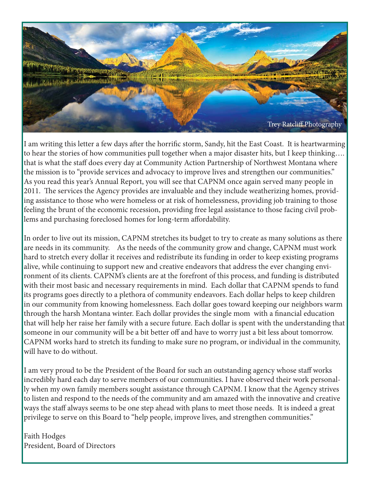

I am writing this letter a few days after the horrific storm, Sandy, hit the East Coast. It is heartwarming to hear the stories of how communities pull together when a major disaster hits, but I keep thinking…. that is what the staff does every day at Community Action Partnership of Northwest Montana where the mission is to "provide services and advocacy to improve lives and strengthen our communities." As you read this year's Annual Report, you will see that CAPNM once again served many people in 2011. The services the Agency provides are invaluable and they include weatherizing homes, providing assistance to those who were homeless or at risk of homelessness, providing job training to those feeling the brunt of the economic recession, providing free legal assistance to those facing civil problems and purchasing foreclosed homes for long-term affordability.

In order to live out its mission, CAPNM stretches its budget to try to create as many solutions as there are needs in its community. As the needs of the community grow and change, CAPNM must work hard to stretch every dollar it receives and redistribute its funding in order to keep existing programs alive, while continuing to support new and creative endeavors that address the ever changing environment of its clients. CAPNM's clients are at the forefront of this process, and funding is distributed with their most basic and necessary requirements in mind. Each dollar that CAPNM spends to fund its programs goes directly to a plethora of community endeavors. Each dollar helps to keep children in our community from knowing homelessness. Each dollar goes toward keeping our neighbors warm through the harsh Montana winter. Each dollar provides the single mom with a financial education that will help her raise her family with a secure future. Each dollar is spent with the understanding that someone in our community will be a bit better off and have to worry just a bit less about tomorrow. CAPNM works hard to stretch its funding to make sure no program, or individual in the community, will have to do without.

I am very proud to be the President of the Board for such an outstanding agency whose staff works incredibly hard each day to serve members of our communities. I have observed their work personally when my own family members sought assistance through CAPNM. I know that the Agency strives to listen and respond to the needs of the community and am amazed with the innovative and creative ways the staff always seems to be one step ahead with plans to meet those needs. It is indeed a great privilege to serve on this Board to "help people, improve lives, and strengthen communities."

Faith Hodges President, Board of Directors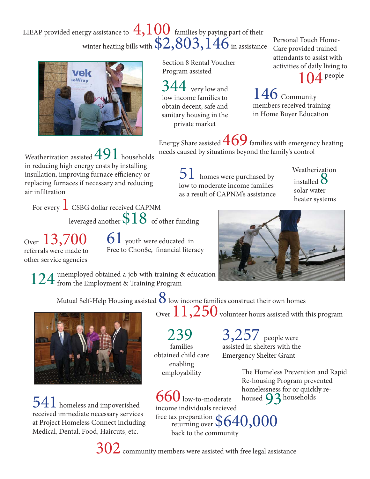### LIEAP provided energy assistance to  $\,4,100\,$  families by paying part of their winter heating bills with  $\$2,\!803,\!146$  in assistance



 Section 8 Rental Voucher Program assisted

 $44\,$  very low and low income families to obtain decent, safe and sanitary housing in the private market

Personal Touch Home-Care provided trained attendants to assist with activities of daily living to

 $\Lambda$  people

146 Community members received training in Home Buyer Education

Energy Share assisted  $469$  families with emergency heating needs caused by situations beyond the family's control

Weatherization assisted  $491$  households in reducing high energy costs by installing insullation, improving furnace efficiency or replacing furnaces if necessary and reducing air infiltration

 $51\,$  homes were purchased by low to moderate income families as a result of CAPNM's assistance

Weatherization installed  $8$ solar water heater systems

For every  $\perp$  CSBG dollar received CAPNM leveraged another  $$18$  of other funding

Over 13,700 referrals were made to other service agencies

 $61$  youth were educated in Free to Choo\$e, financial literacy



unemployed obtained a job with training & education  $124$  unemployed obtained a job with training  $8$  from the Employment & Training Program

Mutual Self-Help Housing assisted  $8$  low income families construct their own homes



 $541$  homeless and impoverished received immediate necessary services at Project Homeless Connect including Medical, Dental, Food, Haircuts, etc.

Over  $11,250$  volunteer hours assisted with this program

 239 families obtained child care enabling employability

**3,257** people were assisted in shelters with the Emergency Shelter Grant

> The Homeless Prevention and Rapid Re-housing Program prevented homelessness for or quickly rehoused  $93$  households

 $\int$  low-to-moderate income individuals recieved free tax preparation  $$640,000$ back to the community

 $302$  community members were assisted with free legal assistance